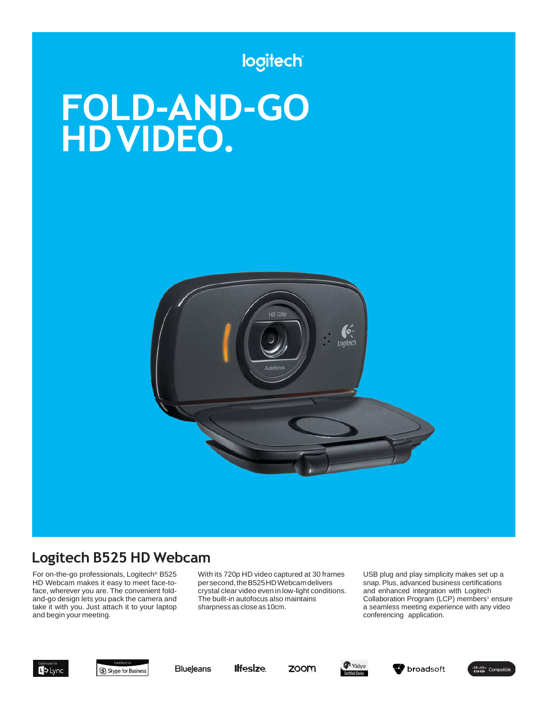# logitech

# **FOLD-AND-GO HDVIDEO.**



# **Logitech B525 HD Webcam**

For on-the-go professionals, Logitech® B525 HD Webcam makes it easy to meet face-toface, wherever you are. The convenient foldand-go design lets you pack the camera and take it with you. Just attach it to your laptop and begin your meeting.

With its 720p HD video captured at 30 frames per second, the B525HD Webcam delivers crystal clear video even in low-light conditions. The built-in autofocus also maintains sharpness as close as 10cm.

USB plug and play simplicity makes set up a snap. Plus, advanced business certifications and enhanced integration with Logitech Collaboration Program (LCP) members<sup>1</sup> ensure a seamless meeting experience with any video conferencing application.



S Skype for Business

**Ilfesize Blueleans** 







diuli Compatible